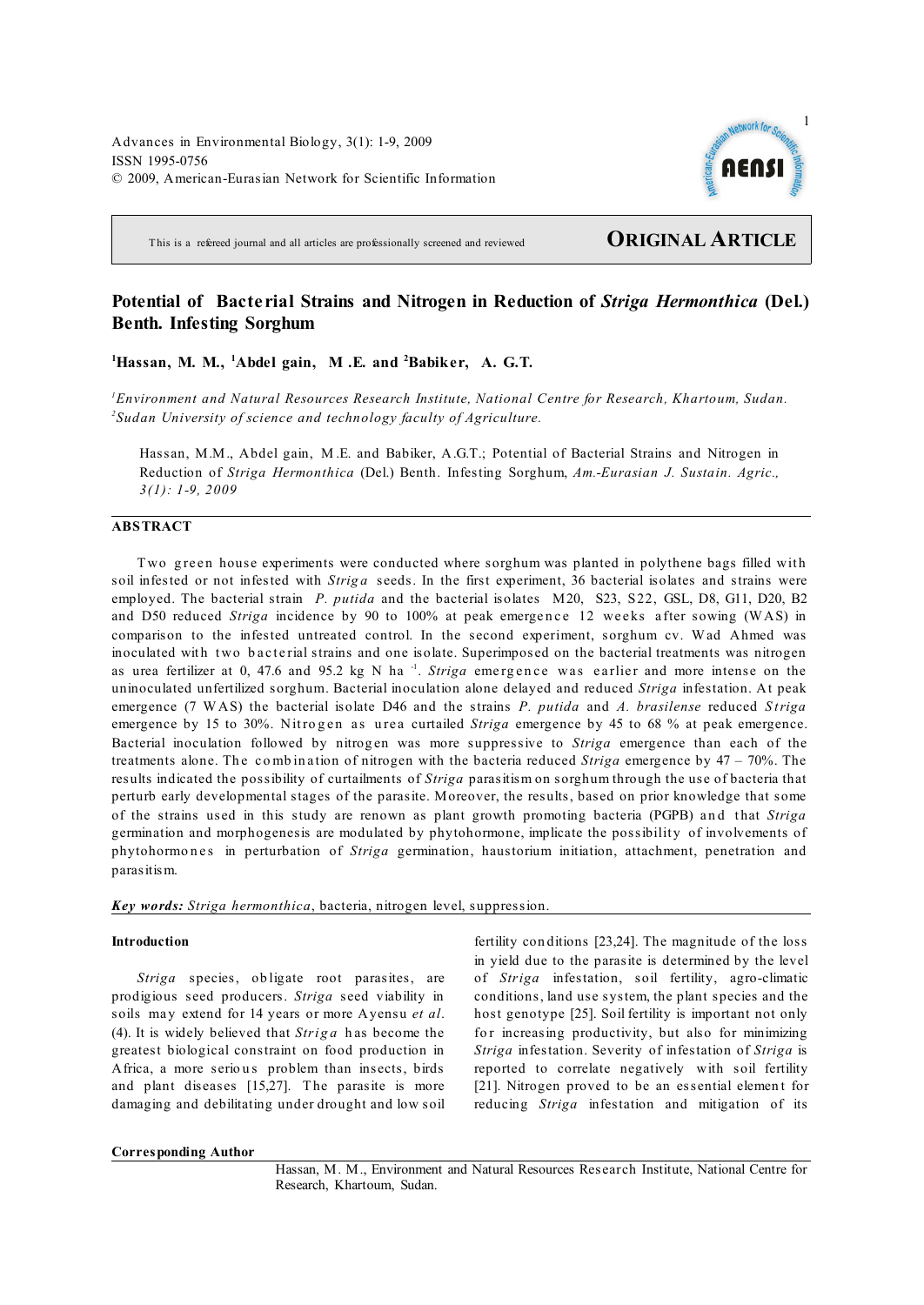Advances in Environmental Biology, 3(1): 1-9, 2009 ISSN 1995-0756 © 2009, American-Eurasian Network for Scientific Information



This is a refereed journal and all articles are professionally screened and reviewed **ORIGINAL ARTICLE**

# **Potential of Bacte rial Strains and Nitrogen in Reduction of** *Striga Hermonthica* **(Del.) Benth. Infesting Sorghum**

<sup>1</sup>Hassan, M. M., <sup>1</sup>Abdel gain, M.E. and <sup>2</sup>Babiker, A. G.T.

*Environment and Natural Resources Research Institute, National Centre for Research, Khartoum, Sudan. 1 Sudan University of science and technology faculty of Agriculture. <sup>2</sup>*

Hassan, M.M., Abdel gain, M .E. and Babiker, A.G.T.; Potential of Bacterial Strains and Nitrogen in Reduction of *Striga Hermonthica* (Del.) Benth. Infesting Sorghum, *Am.-Eurasian J. Sustain. Agric., 3(1): 1-9, 2009*

## **ABSTRACT**

Two green house experiments were conducted where sorghum was planted in polythene bags filled with soil infested or not infested with *Striga* seeds. In the first experiment, 36 bacterial isolates and strains were employed. The bacterial strain *P. putida* and the bacterial isolates M20, S23, S22, GSL, D8, G11, D20, B2 and D50 reduced *Striga* incidence by 90 to 100% at peak emergence 12 weeks after sowing (WAS) in comparison to the infested untreated control. In the second experiment, sorghum cv. Wad Ahmed was inoculated with two bacterial strains and one isolate. Superimposed on the bacterial treatments was nitrogen as urea fertilizer at 0, 47.6 and 95.2 kg N ha<sup>-1</sup>. *Striga* emergence was earlier and more intense on the uninoculated unfertilized sorghum. Bacterial inoculation alone delayed and reduced *Striga* infestation. At peak emergence (7 WAS) the bacterial isolate D46 and the strains *P. putida* and *A. brasilense* reduced *S triga* emergence by 15 to 30%. Nitrogen as urea curtailed *Striga* emergence by 45 to 68 % at peak emergence. Bacterial inoculation followed by nitrogen was more suppressive to *Striga* emergence than each of the treatments alone. The combination of nitrogen with the bacteria reduced *Striga* emergence by  $47 - 70\%$ . The results indicated the possibility of curtailments of *Striga* parasitism on sorghum through the use of bacteria that perturb early developmental stages of the parasite. Moreover, the results, based on prior knowledge that some of the strains used in this study are renown as plant growth promoting bacteria (PGPB) and that *Striga* germination and morphogenesis are modulated by phytohormone, implicate the possibility of involvements of phytohormones in perturbation of *Striga* germination, haustorium initiation, attachment, penetration and parasitism.

*Key words: Striga hermonthica*, bacteria, nitrogen level, suppression.

## **Introduction**

*Striga* species, ob ligate root parasites, are prodigious seed producers. *Striga* seed viability in soils ma y extend for 14 years or more Ayensu *et al*. (4). It is widely believed that *Striga* has become the greatest biological constraint on food production in Africa, a more serious problem than insects, birds and plant diseases [15,27]. The parasite is more damaging and debilitating under drought and low soil

fertility con ditions [23,24]. The magnitude of the loss in yield due to the parasite is determined by the level of *Striga* infestation, soil fertility, agro-climatic conditions, land use system, the plant species and the host genotype [25]. Soil fertility is important not only for increasing productivity, but also for minimizing *Striga* infestation. Severity of infestation of *Striga* is reported to correlate negatively with soil fertility [21]. Nitrogen proved to be an essential element for reducing *Striga* infestation and mitigation of its

#### **Corresponding Author**

Hassan, M. M., Environment and Natural Resources Research Institute, National Centre for Research, Khartoum, Sudan.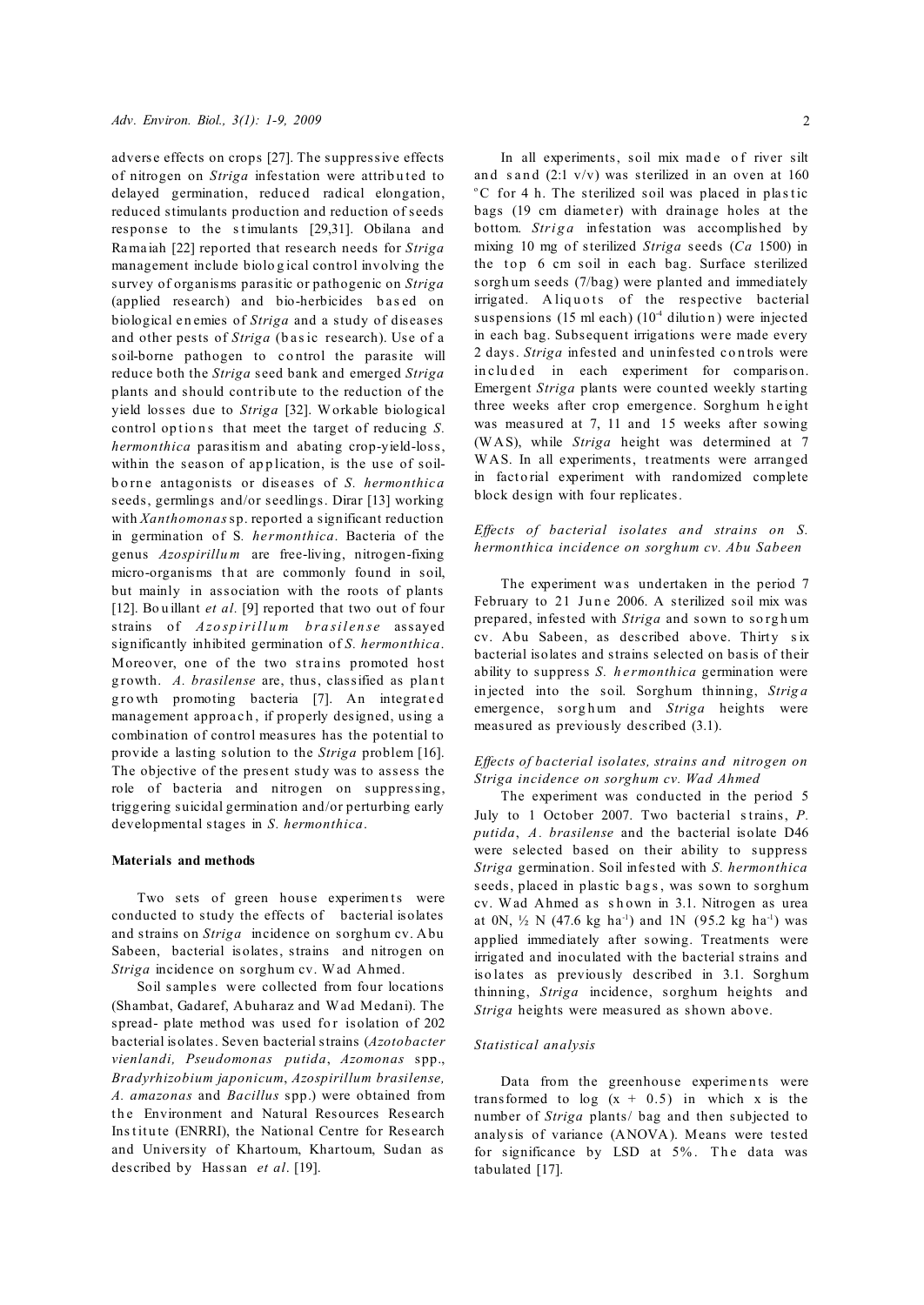adverse effects on crops [27]. The suppressive effects of nitrogen on *Striga* infestation were attributed to delayed germination, reduced radical elongation, reduced stimulants production and reduction of seeds response to the stimulants [29,31]. Obilana and Rama iah [22] reported that research needs for *Striga* management include biolo g ical control involving the survey of organisms parasitic or pathogenic on *Striga* (applied research) and bio-herbicides based on biological e n emies of *Striga* and a study of diseases and other pests of *Striga* (basic research). Use of a soil-borne pathogen to control the parasite will reduce both the *Striga* seed bank and emerged *Striga* plants and should contrib ute to the reduction of the yield losses due to *Striga* [32]. Workable biological control options that meet the target of reducing *S*. *hermonthica* parasitism and abating crop-yield-loss, within the season of application, is the use of soilb o rn e antagonists or diseases of *S. hermonthic a* seeds, germlings and/or seedlings. Dirar [13] working with *Xanthomonas*sp. reported a significant reduction in germination of S*. he rmonthica*. Bacteria of the genus *Azospirillu m* are free-living, nitrogen-fixing micro-organisms that are commonly found in soil, but mainly in association with the roots of plants [12]. Bo u illant *et al.* [9] reported that two out of four strains of *Azo sp irill u m b ra sil e n se* assayed significantly inhibited germination of *S. hermonthica*. Moreover, one of the two strains promoted host growth. A. brasilense are, thus, classified as plant growth promoting bacteria [7]. An integrated management approach, if properly designed, using a combination of control measures has the potential to provide a lasting solution to the *Striga* problem [16]. The objective of the present study was to assess the role of bacteria and nitrogen on suppressing, triggering suicidal germination and/or perturbing early developmental stages in *S. hermonthica*.

#### **Materials and methods**

Two sets of green house experiments were conducted to study the effects of bacterial isolates and strains on *Striga* incidence on sorghum cv. Abu Sabeen, bacterial isolates, strains and nitrogen on *Striga* incidence on sorghum cv. Wad Ahmed.

Soil samples were collected from four locations (Shambat, Gadaref, Abuharaz and Wad Medani). The spread- plate method was used for isolation of 202 bacterial isolates. Seven bacterial strains (*Azotobacter vienlandi, Pseudomonas putida*, *Azomonas* spp., *Bradyrhizobium japonicum*, *Azospirillum brasilense, A. amazonas* and *Bacillus* spp.) were obtained from the Environment and Natural Resources Research Institute (ENRRI), the National Centre for Research and University of Khartoum, Khartoum, Sudan as described by Hassan *et al*. [19].

In all experiments, soil mix made of river silt and s and  $(2:1 \text{ v/v})$  was sterilized in an oven at 160  $\rm ^{\circ}C$  for 4 h. The sterilized soil was placed in plastic bags (19 cm diameter) with drainage holes at the bottom. *Striga* infestation was accomplished by mixing 10 mg of sterilized *Striga* seeds (*Ca* 1500) in the top 6 cm soil in each bag. Surface sterilized sorgh um seeds (7/bag) were planted and immediately irrigated. Aliquots of the respective bacterial suspensions (15 ml each)  $(10<sup>4</sup>$  dilution) were injected in each bag. Subsequent irrigations were made every 2 days. *Striga* infested and uninfested controls were in cluded in each experiment for comparison. Emergent *Striga* plants were counted weekly starting three weeks after crop emergence. Sorghum height was measured at 7, 11 and 15 weeks after sowing (WAS), while *Striga* height was determined at 7 WAS. In all experiments, treatments were arranged in factorial experiment with randomized complete block design with four replicates.

## *Ef ects of bacterial isolates and strains on S. hermonthica incidence on sorghum cv. Abu Sabeen*

The experiment was undertaken in the period  $7$ February to 21 June 2006. A sterilized soil mix was prepared, infested with *Striga* and sown to so rg h um cv. Abu Sabeen, as described above. Thirty six bacterial isolates and strains selected on basis of their ability to suppress *S. h e rmonthica* germination were in jected into the soil. Sorghum thinning, *Strig a* emergence, sorghum and *Striga* heights were measured as previously described (3.1).

## *Ef ects of bacterial isolates, strains and nitrogen on Striga incidence on sorghum cv. Wad Ahmed*

The experiment was conducted in the period 5 July to 1 October 2007. Two bacterial strains, *P*. *putida*, *A. brasilense* and the bacterial isolate D46 were selected based on their ability to suppress *Striga* germination. Soil infested with *S. hermonthica* seeds, placed in plastic bags, was sown to sorghum cv. Wad Ahmed as shown in 3.1. Nitrogen as urea at 0N,  $\frac{1}{2}$  N (47.6 kg ha<sup>-1</sup>) and 1N (95.2 kg ha<sup>-1</sup>) was applied immediately after sowing. Treatments were irrigated and inoculated with the bacterial strains and iso la tes as previously described in 3.1. Sorghum thinning, *Striga* incidence, sorghum heights and *Striga* heights were measured as shown above.

## *Statistical analysis*

Data from the greenhouse experiments were transformed to  $log(x + 0.5)$  in which x is the number of *Striga* plants/ bag and then subjected to analysis of variance (ANOVA). Means were tested for significance by LSD at  $5\%$ . The data was tabulated [17].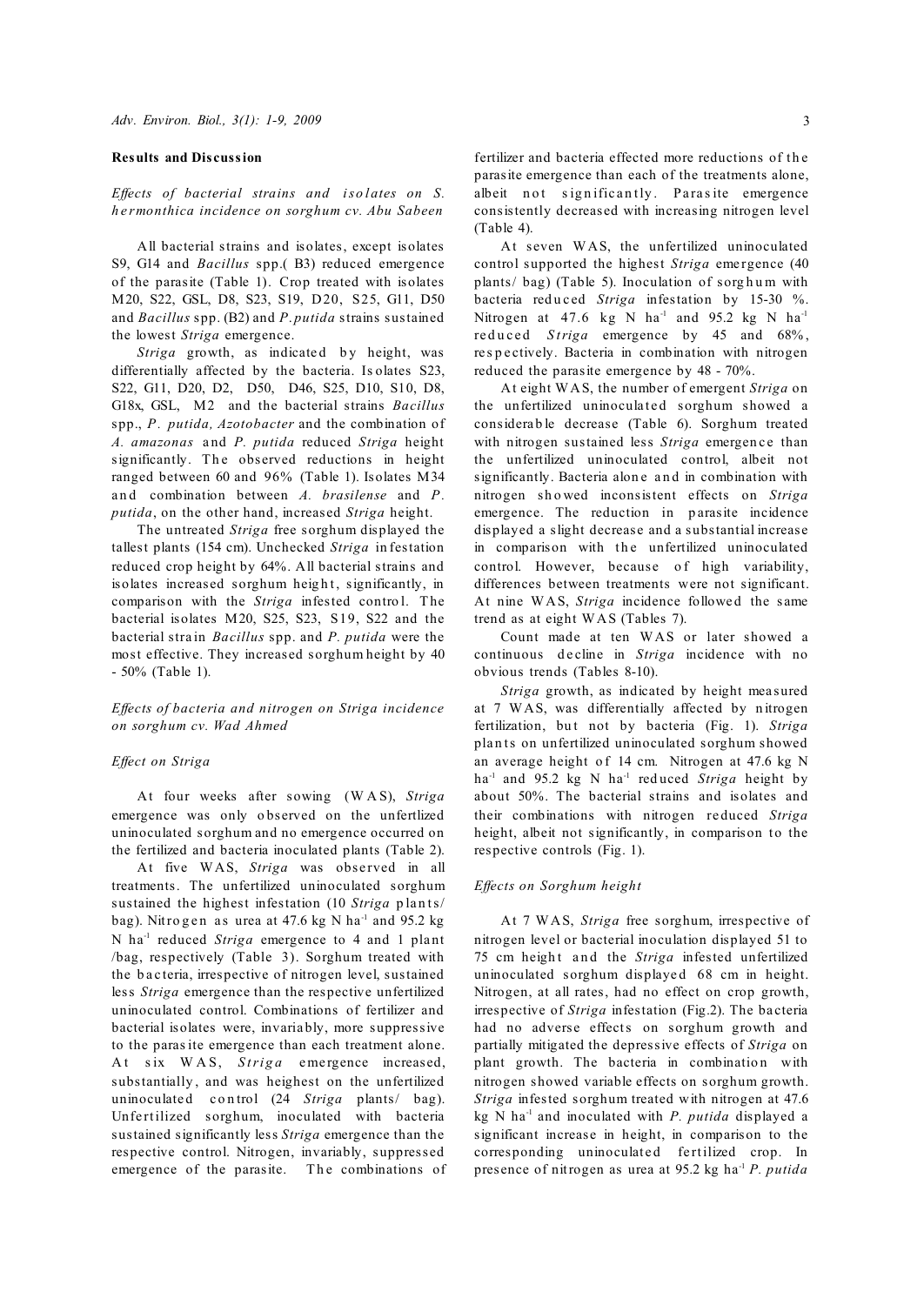#### **Results and Discussion**

*Effects of bacterial strains and isolates on S. h e rmonthica incidence on sorghum cv. Abu Sabeen*

All bacterial strains and isolates, except isolates S9, G14 and *Bacillus* spp.( B3) reduced emergence of the parasite (Table 1). Crop treated with isolates M20, S22, GSL, D8, S23, S19, D20, S25, G11, D50 and *Bacillus* spp. (B2) and *P*. *putida* strains sustained the lowest *Striga* emergence.

*Striga* growth, as indicated by height, was differentially affected by the bacteria. Is olates S23, S22, G11, D20, D2, D50, D46, S25, D10, S10, D8, G18x, GSL, M2 and the bacterial strains *Bacillus* spp., *P. putida, Azotobacter* and the combination of *A. amazonas* a nd *P. putida* reduced *Striga* height significantly. The observed reductions in height ranged between 60 and 96% (Table 1). Isolates M34 and combination between A. brasilense and P. *putida*, on the other hand, increased *Striga* height.

The untreated *Striga* free sorghum displayed the tallest plants (154 cm). Unchecked *Striga* in festation reduced crop height by 64%. All bacterial strains and isolates increased sorghum height, significantly, in comparison with the *Striga* infested contro l. The bacterial isolates M20, S25, S23, S19, S22 and the bacterial stra in *Bacillus* spp. and *P. putida* were the most effective. They increased sorghum height by 40 - 50% (Table 1).

*Effects of bacteria and nitrogen on Striga incidence on sorghum cv. Wad Ahmed* 

### *Ef ect on Striga*

At four weeks after sowing (W A S), *Striga* emergence was only o bserved on the unfertlized uninoculated sorghum and no emergence occurred on the fertilized and bacteria inoculated plants (Table 2).

At five WAS, *Striga* was observed in all treatments. The unfertilized uninoculated sorghum sustained the highest infestation (10 *Striga* plants/ bag). Nitro g en as urea at  $47.6$  kg N ha<sup>-1</sup> and  $95.2$  kg N ha<sup>-1</sup> reduced *Striga* emergence to 4 and 1 plant /bag, respectively (Table 3). Sorghum treated with the b a c teria, irrespective of nitrogen level, sustained less *Striga* emergence than the respective unfertilized uninoculated control. Combinations of fertilizer and bacterial isolates were, invaria bly, more suppressive to the parasite emergence than each treatment alone. At six WAS, *Striga* emergence increased, substantially , and was heighest on the unfertilized uninoculated control (24 *Striga* plants/ bag). Unfertilized sorghum, inoculated with bacteria sustained significantly less *Striga* emergence than the respective control. Nitrogen, invariably, suppressed emergence of the parasite. The combinations of fertilizer and bacteria effected more reductions of the parasite emergence than each of the treatments alone, albeit not significantly. Parasite emergence consistently decreased with increasing nitrogen level (Table 4).

At seven WAS, the unfertilized uninoculated control supported the highest *Striga* emergence (40)  $\mathbf{p}$ lants/ $\mathbf{b}$ ag) (Table 5). Inoculation of sorghum with bacteria reduced Striga infestation by 15-30 %. Nitrogen at 47.6 kg N ha<sup>-1</sup> and 95.2 kg N ha<sup>-1</sup> reduced *Striga* emergence by 45 and 68%. re s p e ctively. Bacteria in combination with nitrogen reduced the parasite emergence by 48 - 70%.

At eight WAS, the number of emergent *Striga* on the unfertilized uninoculated sorghum showed a considerable decrease (Table 6). Sorghum treated with nitrogen sustained less *Striga* emergence than the unfertilized uninoculated control, albeit not significantly. Bacteria alone and in combination with nitrogen sh o wed inconsistent effects on *Striga* emergence. The reduction in parasite incidence displayed a slight decrease and a substantial increase in comparison with the unfertilized uninoculated control. However, because of high variability, differences between treatments were not significant. At nine WAS, *Striga* incidence followed the same trend as at eight WAS (Tables 7).

Count made at ten WAS or later showed a continuous d e cline in *Striga* incidence with no obvious trends (Tables 8-10).

*Striga* growth, as indicated by height measured at 7 WAS, was differentially affected by n itrogen fertilization, but not by bacteria (Fig. 1). *Striga* plan ts on unfertilized uninoculated sorghum showed an average height of 14 cm. Nitrogen at 47.6 kg N ha<sup>-1</sup> and 95.2 kg N ha<sup>-1</sup> reduced *Striga* height by about 50%. The bacterial strains and isolates and their combinations with nitrogen re duced *Striga* height, albeit not significantly, in comparison to the respective controls (Fig. 1).

#### *Ef ects on Sorghum height*

At 7 WAS, *Striga* free sorghum, irrespective of nitrogen level or bacterial inoculation displayed 51 to 75 cm height and the *Striga* infested unfertilized uninoculated sorghum displayed 68 cm in height. Nitrogen, at all rates, had no effect on crop growth, irrespective of *Striga* infestation (Fig.2). The ba cteria had no adverse effects on sorghum growth and partially mitigated the depressive effects of *Striga* on plant growth. The bacteria in combination with nitrogen showed variable effects on sorghum growth. *Striga* infested sorghum treated with nitrogen at 47.6 kg N ha<sup>-1</sup> and inoculated with *P. putida* displayed a significant increase in height, in comparison to the corresponding uninoculated fertilized crop. In presence of nitrogen as urea at 95.2 kg ha<sup>-1</sup> P. putida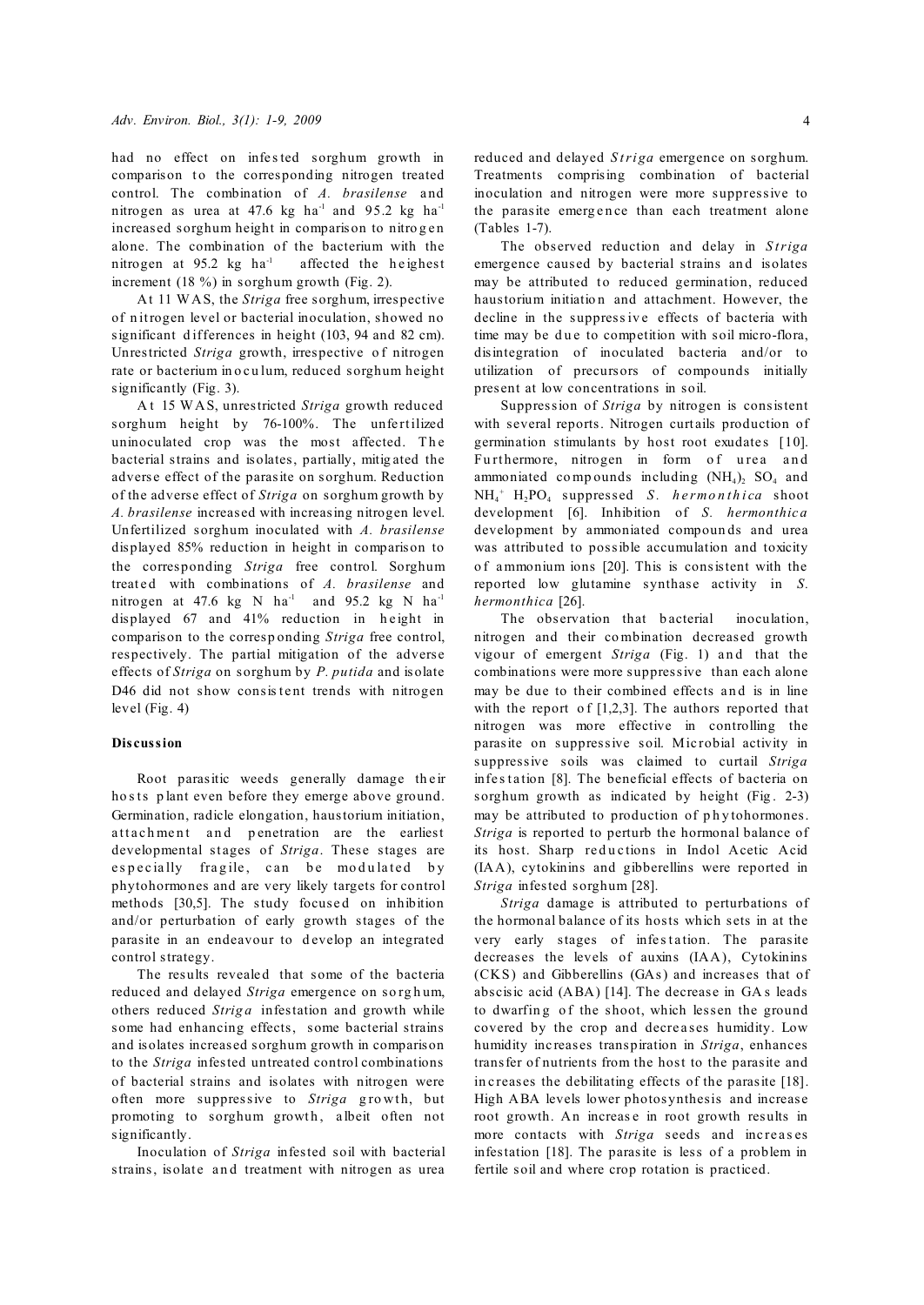had no effect on infested sorghum growth in comparison to the corresponding nitrogen treated control. The combination of A. brasilense and nitrogen as urea at 47.6 kg ha<sup>-1</sup> and 95.2 kg ha<sup>-1</sup> increased sorghum height in comparison to nitrogen alone. The combination of the bacterium with the nitrogen at 95.2 kg  $ha^{-1}$  affected the heighest increment (18 %) in sorghum growth (Fig. 2).

At 11 WAS, the *Striga* free sorghum, irrespective of n itrogen level or bacterial inoculation, showed no significant differences in height (103, 94 and 82 cm). Unrestricted *Striga* growth, irrespective of nitrogen rate or bacterium in o culum, reduced sorghum height significantly (Fig. 3).

A t 15 WAS, unrestricted *Striga* growth reduced sorghum height by 76-100%. The unfertilized uninoculated crop was the most affected. The bacterial strains and isolates, partially, mitig ated the adverse effect of the parasite on sorghum. Reduction of the adverse effect of *Striga* on sorghum growth by *A. brasilense* increased with increasing nitrogen level. Unfertilized sorghum inoculated with *A. brasilense* displayed 85% reduction in height in comparison to the corresponding *Striga* free control. Sorghum treated with combinations of *A. brasilense* and nitrogen at 47.6 kg N  $ha^{-1}$  and 95.2 kg N  $ha^{-1}$ displayed 67 and 41% reduction in height in comparison to the corresp onding *Striga* free control, respectively. The partial mitigation of the adverse effects of *Striga* on sorghum by *P. putida* and isolate D46 did not show consistent trends with nitrogen level (Fig. 4)

#### **Discussion**

Root parasitic weeds generally damage their ho sts p lant even before they emerge above ground. Germination, radicle elongation, haustorium initiation, attachment and penetration are the earliest developmental st ages of *Striga*. These stages are especially fragile, can be modulated by phytohormones and are very likely targets for control methods [30,5]. The study focused on inhibition and/or perturbation of early growth stages of the parasite in an endeavour to develop an integrated control strategy.

The results revealed that some of the bacteria reduced and delayed *Striga* emergence on sorghum, others reduced *Striga* infestation and growth while some had enhancing effects, some bacterial strains and isolates increased sorghum growth in comparison to the *Striga* infested untreated control combinations of bacterial strains and isolates with nitrogen were often more suppressive to *Striga* growth, but promoting to sorghum growth, albeit often not significantly.

Inoculation of *Striga* infested soil with bacterial strains, isolate and treatment with nitrogen as urea

reduced and delayed *Striga* emergence on sorghum. Treatments comprising combination of bacterial inoculation and nitrogen were more suppressive to

(Tables 1-7). The observed reduction and delay in *S triga* emergence caused by bacterial strains and isolates may be attributed to reduced germination, reduced haustorium initiation and attachment. However, the decline in the suppressive effects of bacteria with time may be due to competition with soil micro-flora, disintegration of inoculated bacteria and/or to utilization of precursors of compounds initially present at low concentrations in soil.

the parasite emergence than each treatment alone

Suppression of *Striga* by nitrogen is consistent with several reports. Nitrogen curt ails production of germination stimulants by host root exudates  $[10]$ . Furthermore, nitrogen in form of urea and ammoniated compounds including  $(NH_4)_2$  SO<sub>4</sub> and  $NH_4$ <sup>+</sup> H<sub>2</sub>PO<sub>4</sub> suppressed *S. hermonthica* shoot development [6]. Inhibition of *S. hermonthic a* development by ammoniated compoun ds and urea was attributed to possible accumulation and toxicity o f ammonium ions [20]. This is consistent with the reported low glutamine synthase activity in *S. hermonthica* [26].

The observation that bacterial inoculation, nitrogen and their co mbination decreased growth vigour of emergent *Striga* (Fig. 1) and that the combinations were more suppressive than each alone may be due to their combined effects and is in line with the report of  $[1,2,3]$ . The authors reported that nitrogen was more effective in controlling the parasite on suppressive soil. Mic robial activity in suppressive soils was claimed to curtail *Striga* infe station [8]. The beneficial effects of bacteria on sorghum growth as indicated by height (Fig.  $2-3$ ) may be attributed to production of phytohormones. *Striga* is reported to perturb the hormonal balance of its host. Sharp reductions in Indol Acetic Acid (IAA), cytokinins and gibberellins were reported in *Striga* infested sorghum [28].

*Striga* damage is attributed to perturbations of the hormonal balance of its hosts which sets in at the very early stages of infestation. The parasite decreases the levels of auxins (IAA), Cytokinins (CKS) and Gibberellins (GAs) and increases that of abscisic acid (ABA) [14]. The decrease in GA s leads to dwarfing of the shoot, which lessen the ground covered by the crop and decreases humidity. Low humidity inc reases transpiration in *Striga*, enhances transfer of nutrients from the host to the parasite and in c reases the debilitating effects of the parasite [18]. High ABA levels lower photosynthesis and increase root growth. An increas e in root growth results in more contacts with *Striga* seeds and increases infestation [18]. The parasite is less of a problem in fertile soil and where crop rotation is practiced.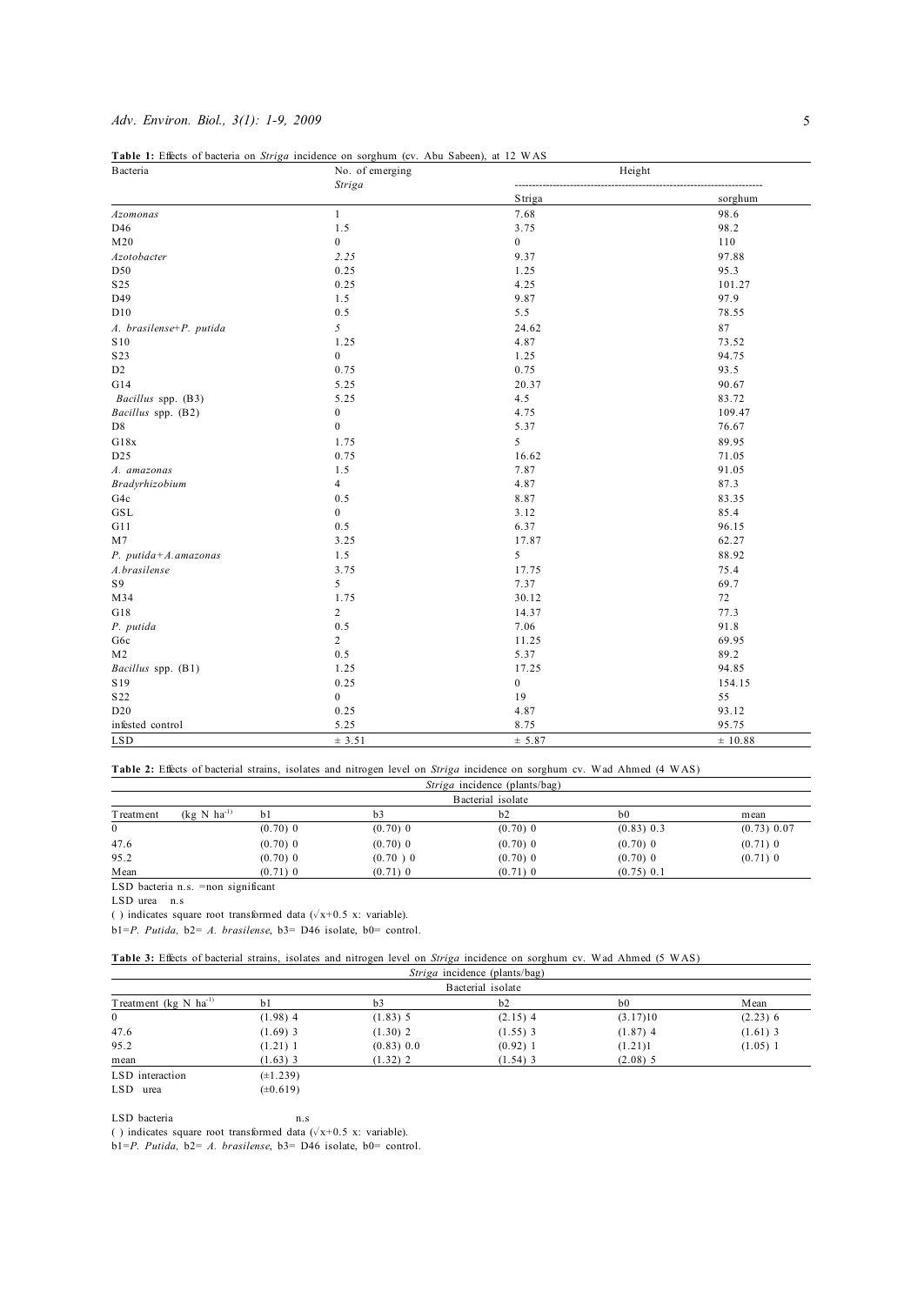## *Adv. Environ. Biol., 3(1): 1-9, 2009* 5

| <b>B</b> acteria        | Table 1: Effects of bacteria on Striga incidence on sorghum (cv. Abu Sabeen), at 12 WAS<br>No. of emerging | Height           |         |  |  |
|-------------------------|------------------------------------------------------------------------------------------------------------|------------------|---------|--|--|
|                         | Striga                                                                                                     | Striga           | sorghum |  |  |
| Azomonas                | $\mathbf{1}$                                                                                               | 7.68             | 98.6    |  |  |
| D46                     | 1.5                                                                                                        | 3.75             | 98.2    |  |  |
| M <sub>20</sub>         | $\boldsymbol{0}$                                                                                           | $\boldsymbol{0}$ | 110     |  |  |
| Azotobacter             | 2.25                                                                                                       | 9.37             | 97.88   |  |  |
| D50                     | 0.25                                                                                                       | 1.25             | 95.3    |  |  |
| S <sub>25</sub>         | 0.25                                                                                                       | 4.25             | 101.27  |  |  |
| D49                     | 1.5                                                                                                        | 9.87             | 97.9    |  |  |
| D10                     | 0.5                                                                                                        | 5.5              | 78.55   |  |  |
| A. brasilense+P. putida | 5                                                                                                          | 24.62            | 87      |  |  |
| S10                     | 1.25                                                                                                       | 4.87             | 73.52   |  |  |
| S <sub>2</sub> 3        | $\mathbf{0}$                                                                                               | 1.25             | 94.75   |  |  |
| D <sub>2</sub>          | 0.75                                                                                                       | 0.75             | 93.5    |  |  |
| G14                     | 5.25                                                                                                       | 20.37            | 90.67   |  |  |
| Bacillus spp. (B3)      | 5.25                                                                                                       | 4.5              | 83.72   |  |  |
| Bacillus spp. (B2)      | $\boldsymbol{0}$                                                                                           | 4.75             | 109.47  |  |  |
| D <sub>8</sub>          | $\boldsymbol{0}$                                                                                           | 5.37             | 76.67   |  |  |
| G18x                    | 1.75                                                                                                       | 5                | 89.95   |  |  |
| D <sub>25</sub>         | 0.75                                                                                                       | 16.62            | 71.05   |  |  |
| A. amazonas             | 1.5                                                                                                        | 7.87             | 91.05   |  |  |
| Bradyrhizobium          | $\overline{4}$                                                                                             | 4.87             | 87.3    |  |  |
| G4c                     | 0.5                                                                                                        | 8.87             | 83.35   |  |  |
| GSL                     | $\mathbf{0}$                                                                                               | 3.12             | 85.4    |  |  |
| G11                     | 0.5                                                                                                        | 6.37             | 96.15   |  |  |
| M <sub>7</sub>          | 3.25                                                                                                       | 17.87            | 62.27   |  |  |
| P. putida+A.amazonas    | 1.5                                                                                                        | 5                | 88.92   |  |  |
| A.brasilense            | 3.75                                                                                                       | 17.75            | 75.4    |  |  |
| S9                      | 5                                                                                                          | 7.37             | 69.7    |  |  |
| M34                     | 1.75                                                                                                       | 30.12            | 72      |  |  |
| G18                     | $\overline{c}$                                                                                             | 14.37            | 77.3    |  |  |
| P. putida               | 0.5                                                                                                        | 7.06             | 91.8    |  |  |
| G6c                     | $\overline{c}$                                                                                             | 11.25            | 69.95   |  |  |
| M <sub>2</sub>          | 0.5                                                                                                        | 5.37             | 89.2    |  |  |
| Bacillus spp. (B1)      | 1.25                                                                                                       | 17.25            | 94.85   |  |  |
| S19                     | 0.25                                                                                                       | $\boldsymbol{0}$ | 154.15  |  |  |
| S <sub>22</sub>         | $\boldsymbol{0}$                                                                                           | 19               | 55      |  |  |
| D20                     | 0.25                                                                                                       | 4.87             | 93.12   |  |  |
| infested control        | 5.25                                                                                                       | 8.75             | 95.75   |  |  |
| <b>LSD</b>              | ± 3.51                                                                                                     | ± 5.87           | ± 10.88 |  |  |

**Table 2:** Effects of bacterial strains, isolates and nitrogen level on *Striga* incidence on sorghum cv. Wad Ahmed (4 WAS)

|              |                                       |            |                | <i>Striga</i> incidence (plants/bag)<br>Bacterial isolate |                |             |
|--------------|---------------------------------------|------------|----------------|-----------------------------------------------------------|----------------|-------------|
| T reatment   | $(kg \text{ N} \text{ ha}^{-1})$      | bl         | b <sub>3</sub> | b2                                                        | b <sub>0</sub> | mean        |
| $\mathbf{0}$ |                                       | $(0.70)$ 0 | $(0.70)$ 0     | $(0.70)$ 0                                                | $(0.83)$ 0.3   | (0.73) 0.07 |
| 47.6         |                                       | $(0.70)$ 0 | $(0.70)$ 0     | $(0.70)$ 0                                                | $(0.70)$ 0     | $(0.71)$ 0  |
| 95.2         |                                       | $(0.70)$ 0 | $(0.70)$ 0     | $(0.70)$ 0                                                | $(0.70)$ 0     | $(0.71)$ 0  |
| Mean         |                                       | $(0.71)$ 0 | $(0.71)$ 0     | $(0.71)$ 0                                                | $(0.75)$ 0.1   |             |
|              | $LSD$ bacteria n.s. = non significant |            |                |                                                           |                |             |

LSD urea n.s

( ) indicates square root transformed data  $(\sqrt{x+0.5} x)$ : variable).

b1=*P. Putida,* b2= *A. brasilense*, b3= D46 isolate, b0= control.

| Table 3: Effects of bacterial strains, isolates and nitrogen level on Striga incidence on sorghum cv. Wad Ahmed (5 WAS) |  |
|-------------------------------------------------------------------------------------------------------------------------|--|
|-------------------------------------------------------------------------------------------------------------------------|--|

|                                              |                | <i>Striga</i> incidence (plants/bag) |            |                |            |  |  |  |  |  |
|----------------------------------------------|----------------|--------------------------------------|------------|----------------|------------|--|--|--|--|--|
| Bacterial isolate                            |                |                                      |            |                |            |  |  |  |  |  |
| Treatment ( $kg \text{ N}$ ha <sup>-1)</sup> | b <sub>1</sub> | b3                                   | b2         | b <sub>0</sub> | Mean       |  |  |  |  |  |
| $\mathbf{0}$                                 | $(1.98)$ 4     | $(1.83)$ 5                           | $(2.15)$ 4 | (3.17)10       | $(2.23)$ 6 |  |  |  |  |  |
| 47.6                                         | $(1.69)$ 3     | $(1.30)$ 2                           | $(1.55)$ 3 | $(1.87)$ 4     | $(1.61)$ 3 |  |  |  |  |  |
| 95.2                                         | $(1.21)$ 1     | (0.83) 0.0                           | $(0.92)$ 1 | (1.21)1        | $(1.05)$ 1 |  |  |  |  |  |
| mean                                         | $(1.63)$ 3     | $(1.32)$ 2                           | $(1.54)$ 3 | $(2.08)$ 5     |            |  |  |  |  |  |
| LSD interaction                              | $(\pm 1.239)$  |                                      |            |                |            |  |  |  |  |  |

LSD urea  $(\pm 0.619)$ 

LSD bacteria n.s

( ) indicates square root transformed data  $(\sqrt{x+0.5} x)$ : variable).

b1=*P. Putida,* b2= *A. brasilense*, b3= D46 isolate, b0= control.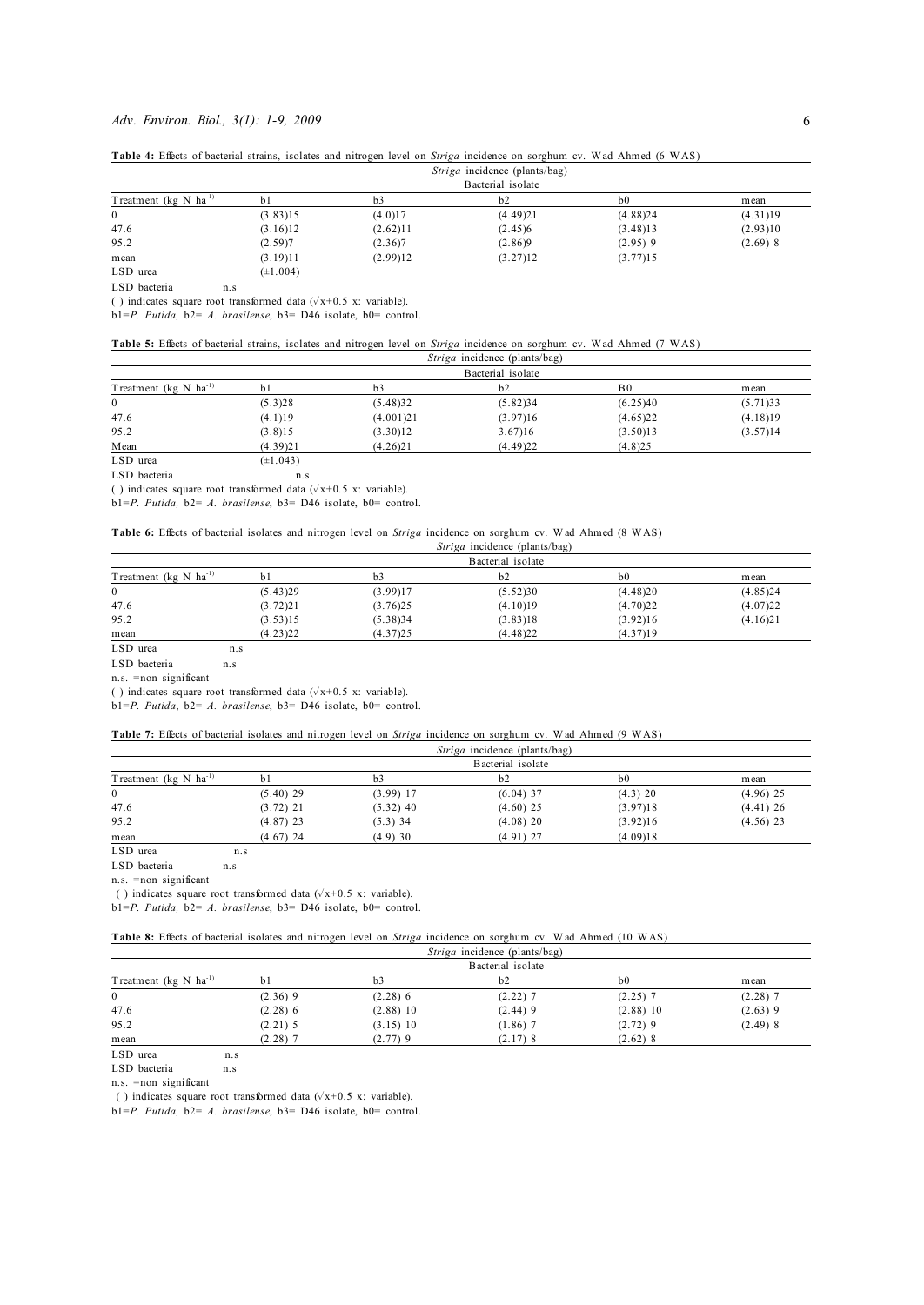## *Adv. Environ. Biol., 3(1): 1-9, 2009* 6

| Table 4: Effects of bacterial strains, isolates and nitrogen level on <i>Striga</i> incidence on sorghum cv. Wad Ahmed (6 WAS) |  |
|--------------------------------------------------------------------------------------------------------------------------------|--|
|--------------------------------------------------------------------------------------------------------------------------------|--|

|                                              |               |          | <i>Striga</i> incidence (plants/bag) |                |            |  |  |  |  |
|----------------------------------------------|---------------|----------|--------------------------------------|----------------|------------|--|--|--|--|
| Bacterial isolate                            |               |          |                                      |                |            |  |  |  |  |
| Treatment ( $kg \text{ N}$ ha <sup>-1)</sup> | b             | b3       | b2                                   | b <sub>0</sub> | mean       |  |  |  |  |
| $\overline{0}$                               | (3.83)15      | (4.0)17  | (4.49)21                             | (4.88)24       | (4.31)19   |  |  |  |  |
| 47.6                                         | (3.16)12      | (2.62)11 | (2.45)6                              | (3.48)13       | (2.93)10   |  |  |  |  |
| 95.2                                         | (2.59)7       | (2.36)7  | (2.86)9                              | $(2.95)$ 9     | $(2.69)$ 8 |  |  |  |  |
| mean                                         | (3.19)11      | (2.99)12 | (3.27)12                             | (3.77)15       |            |  |  |  |  |
| LSD urea                                     | $(\pm 1.004)$ |          |                                      |                |            |  |  |  |  |

LSD bacteria n.s

( ) indicates square root transformed data ( $\sqrt{x}$ +0.5 x: variable).

b1=*P. Putida,* b2= *A. brasilense*, b3= D46 isolate, b0= control.

#### **Table 5:** Effects of bacterial strains, isolates and nitrogen level on *Striga* incidence on sorghum cv. Wad Ahmed (7 WAS)

|                                              |               |           | <i>Striga</i> incidence (plants/bag) |                |          |
|----------------------------------------------|---------------|-----------|--------------------------------------|----------------|----------|
|                                              |               |           | Bacterial isolate                    |                |          |
| Treatment ( $kg \text{ N}$ ha <sup>-1)</sup> | h1            | b3        | b2                                   | B <sub>0</sub> | mean     |
| $\mathbf{0}$                                 | (5.3)28       | (5.48)32  | (5.82)34                             | (6.25)40       | (5.71)33 |
| 47.6                                         | (4.1)19       | (4.001)21 | (3.97)16                             | (4.65)22       | (4.18)19 |
| 95.2                                         | (3.8)15       | (3.30)12  | 3.67)16                              | (3.50)13       | (3.57)14 |
| Mean                                         | (4.39)21      | (4.26)21  | (4.49)22                             | (4.8)25        |          |
| LSD urea                                     | $(\pm 1.043)$ |           |                                      |                |          |

LSD bacteria n.s

( ) indicates square root transformed data ( $\sqrt{x+0.5}$  x: variable).

b1=*P. Putida,* b2= *A. brasilense*, b3= D46 isolate, b0= control.

| <b>Table 6:</b> Effects of bacterial isolates and nitrogen level on <i>Striga</i> incidence on sorghum cv. Wad Ahmed (8 WAS) |  |  |  |                                             |  |  |  |
|------------------------------------------------------------------------------------------------------------------------------|--|--|--|---------------------------------------------|--|--|--|
|                                                                                                                              |  |  |  | - Contra a fact descendant contents (became |  |  |  |

|                                              |          |          | <i>Striga</i> incidence (plants/bag) |                |          |
|----------------------------------------------|----------|----------|--------------------------------------|----------------|----------|
|                                              |          |          | Bacterial isolate                    |                |          |
| Treatment ( $kg \text{ N}$ ha <sup>-1)</sup> | h1       | b3       | b2                                   | b <sub>0</sub> | mean     |
|                                              | (5.43)29 | (3.99)17 | (5.52)30                             | (4.48)20       | (4.85)24 |
| 47.6                                         | (3.72)21 | (3.76)25 | (4.10)19                             | (4.70)22       | (4.07)22 |
| 95.2                                         | (3.53)15 | (5.38)34 | (3.83)18                             | (3.92)16       | (4.16)21 |
| mean                                         | (4.23)22 | (4.37)25 | (4.48)22                             | (4.37)19       |          |

LSD urea n.s

LSD bacteria n.s

n.s. =non significant

( ) indicates square root transformed data ( $\sqrt{x}$ +0.5 x: variable).

b1=*P. Putida*, b2= *A. brasilense*, b3= D46 isolate, b0= control.

|  | Table 7: Effects of bacterial isolates and nitrogen level on <i>Striga</i> incidence on sorghum cv. Wad Ahmed (9 WAS) |  |  |  |  |  |  |  |  |
|--|-----------------------------------------------------------------------------------------------------------------------|--|--|--|--|--|--|--|--|
|  |                                                                                                                       |  |  |  |  |  |  |  |  |

|                                              |                |             | <i>striga</i> incluence (plants/bag) |                |             |
|----------------------------------------------|----------------|-------------|--------------------------------------|----------------|-------------|
|                                              |                |             | Bacterial isolate                    |                |             |
| Treatment ( $kg \text{ N}$ ha <sup>-1)</sup> | b <sub>1</sub> | bЗ          | b2                                   | b <sub>0</sub> | mean        |
| $\mathbf{0}$                                 | $(5.40)$ 29    | $(3.99)$ 17 | $(6.04)$ 37                          | $(4.3)$ 20     | $(4.96)$ 25 |
| 47.6                                         | $(3.72)$ 21    | $(5.32)$ 40 | $(4.60)$ 25                          | (3.97)18       | $(4.41)$ 26 |
| 95.2                                         | $(4.87)$ 23    | $(5.3)$ 34  | $(4.08)$ 20                          | (3.92)16       | $(4.56)$ 23 |
| mean                                         | $(4.67)$ 24    | (4.9)30     | $(4.91)$ 27                          | (4.09)18       |             |

LSD urea n.s

LSD bacteria n.s n.s. =non significant

( ) indicates square root transformed data ( $\sqrt{x+0.5}$  x: variable).

b1=*P. Putida,* b2= *A. brasilense*, b3= D46 isolate, b0= control.

|                                              |                   |             | <i>Striga</i> incidence (plants/bag) |                |            |  |
|----------------------------------------------|-------------------|-------------|--------------------------------------|----------------|------------|--|
| Treatment ( $kg \text{ N}$ ha <sup>-1)</sup> | Bacterial isolate |             |                                      |                |            |  |
|                                              | bl                | b3          | b2                                   | b <sub>0</sub> | mean       |  |
| $\mathbf{0}$                                 | $(2.36)$ 9        | $(2.28)$ 6  | $(2.22)$ 7                           | $(2.25)$ 7     | $(2.28)$ 7 |  |
| 47.6                                         | $(2.28)$ 6        | $(2.88)$ 10 | $(2.44)$ 9                           | $(2.88)$ 10    | $(2.63)$ 9 |  |
| 95.2                                         | $(2.21)$ 5        | (3.15)10    | $(1.86)$ 7                           | $(2.72)$ 9     | $(2.49)$ 8 |  |
| mean                                         | $(2.28)$ 7        | (2.77)9     | $(2.17)$ 8                           | $(2.62)$ 8     |            |  |

LSD urea n.s

LSD bacteria n.s

n.s. =non significant

( ) indicates square root transformed data ( $\sqrt{x}$ +0.5 x: variable).

b1=*P. Putida,* b2= *A. brasilense*, b3= D46 isolate, b0= control.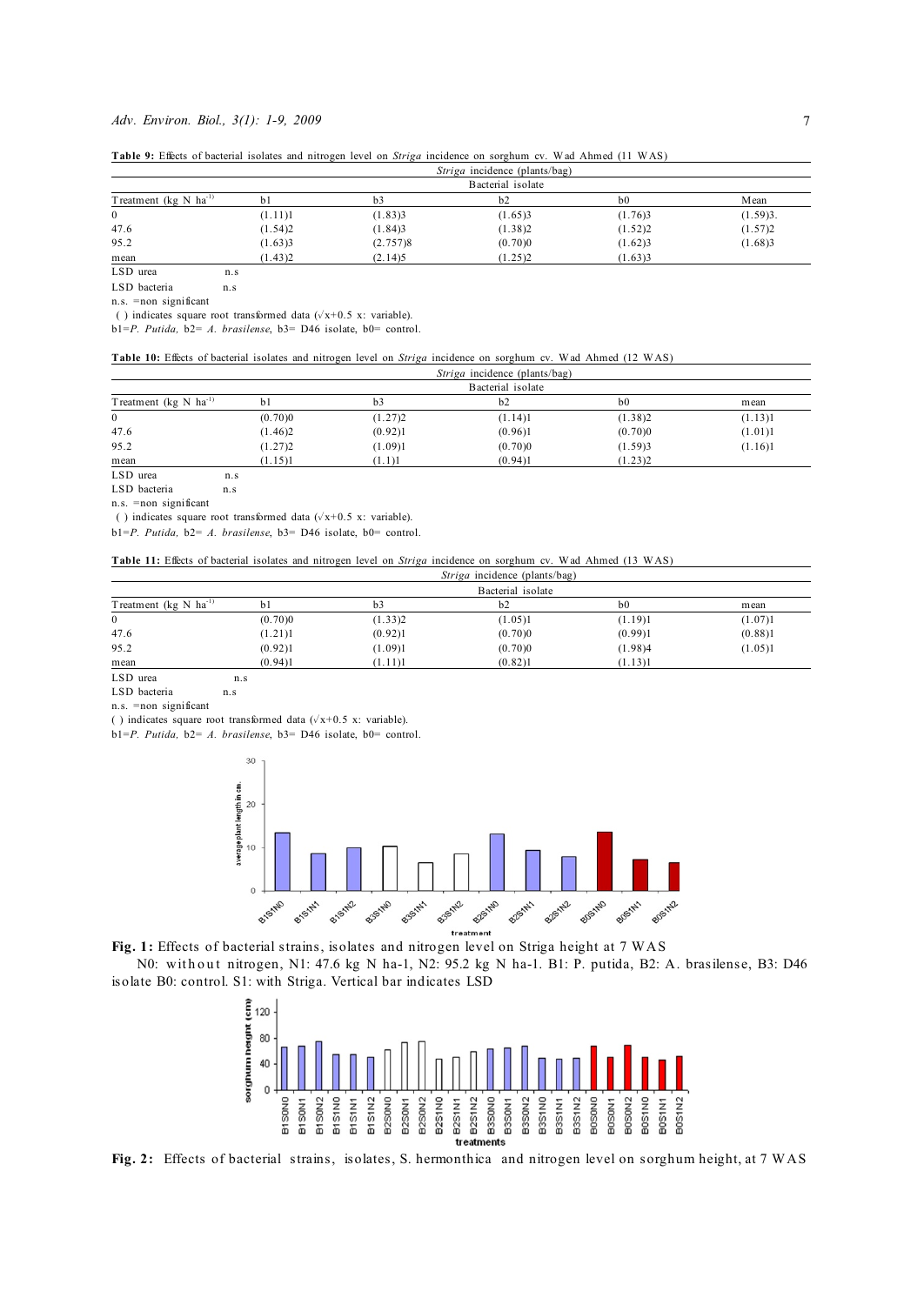#### *Adv. Environ. Biol., 3(1): 1-9, 2009* 7

| Table 9: Effects of bacterial isolates and nitrogen level on Striga incidence on sorghum cv. Wad Ahmed (11 WAS) |  |  |  |  |
|-----------------------------------------------------------------------------------------------------------------|--|--|--|--|
|                                                                                                                 |  |  |  |  |

| Treatment ( $kg \text{ N}$ ha <sup>-1)</sup> |                   |                |                |                |          |  |  |
|----------------------------------------------|-------------------|----------------|----------------|----------------|----------|--|--|
|                                              | Bacterial isolate |                |                |                |          |  |  |
|                                              | b <sub>1</sub>    | b <sub>3</sub> | b <sub>2</sub> | b <sub>0</sub> | Mean     |  |  |
| $\mathbf{0}$                                 | (1.11)1           | (1.83)3        | (1.65)3        | (1.76)3        | (1.59)3. |  |  |
| 47.6                                         | (1.54)2           | (1.84)3        | (1.38)2        | (1.52)2        | (1.57)2  |  |  |
| 95.2                                         | (1.63)3           | (2.757)8       | (0.70)0        | (1.62)3        | (1.68)3  |  |  |
| mean                                         | (1.43)2           | (2.14)5        | (1.25)2        | (1.63)3        |          |  |  |
| LSD urea<br>n <sub>s</sub>                   |                   |                |                |                |          |  |  |

LSD bacteria n.s

n.s. =non significant

( ) indicates square root transformed data ( $\sqrt{x}$ +0.5 x: variable).

b1=*P. Putida,* b2= *A. brasilense*, b3= D46 isolate, b0= control.

### **Table 10:** Effects of bacterial isolates and nitrogen level on *Striga* incidence on sorghum cv. Wad Ahmed (12 WAS)

| Treatment ( $kg \text{ N}$ ha <sup>-1)</sup> |                   |         |         |                |         |  |
|----------------------------------------------|-------------------|---------|---------|----------------|---------|--|
|                                              | Bacterial isolate |         |         |                |         |  |
|                                              | b                 | b3      | b2      | b <sub>0</sub> | mean    |  |
| $\mathbf{0}$                                 | (0.70)0           | (1.27)2 | (1.14)1 | (1.38)2        | (1.13)1 |  |
| 47.6                                         | (1.46)2           | (0.92)1 | (0.96)1 | (0.70)0        | (1.01)1 |  |
| 95.2                                         | (1.27)2           | (1.09)1 | (0.70)0 | (1.59)3        | (1.16)1 |  |
| mean                                         | (1.15)1           | (1.1)1  | (0.94)1 | (1.23)2        |         |  |

LSD urea n.s.

LSD bacteria n.s

n.s. =non significant

( ) indicates square root transformed data ( $\sqrt{x}$ +0.5 x: variable).

b1=*P. Putida,* b2= *A. brasilense*, b3= D46 isolate, b0= control.

#### **Table 11:** Effects of bacterial isolates and nitrogen level on *Striga* incidence on sorghum cv. Wad Ahmed (13 WAS)

| Treatment ( $kg \text{ N}$ ha <sup>-1)</sup> | <i>Striga</i> incidence (plants/bag)<br>Bacterial isolate |         |         |         |         |         |  |
|----------------------------------------------|-----------------------------------------------------------|---------|---------|---------|---------|---------|--|
|                                              |                                                           |         |         |         |         |         |  |
|                                              | $\mathbf{0}$                                              | (0.70)0 | (1.33)2 | (1.05)1 | (1.19)1 | (1.07)1 |  |
| 47.6                                         | (1.21)1                                                   | (0.92)1 | (0.70)0 | (0.99)1 | (0.88)1 |         |  |
| 95.2                                         | (0.92)1                                                   | (1.09)1 | (0.70)0 | (1.98)4 | (1.05)1 |         |  |
| mean                                         | (0.94)1                                                   | (1.11)1 | (0.82)1 | (1.13)1 |         |         |  |

LSD urea n.s

LSD bacteria n.s

n.s. =non significant

( ) indicates square root transformed data ( $\sqrt{x}$ +0.5 x: variable).

b1=*P. Putida,* b2= *A. brasilense*, b3= D46 isolate, b0= control.



**Fig. 1:** Effects of bacterial strains, isolates and nitrogen level on Striga height at 7 WAS

N0: with out nitrogen, N1: 47.6 kg N ha-1, N2: 95.2 kg N ha-1. B1: P. putida, B2: A. brasilense, B3: D46 isolate B0: control. S1: with Striga. Vertical bar indicates LSD



**Fig. 2:** Effects of bacterial strains, isolates, S. hermonthica and nitrogen level on sorghum height, at 7 WAS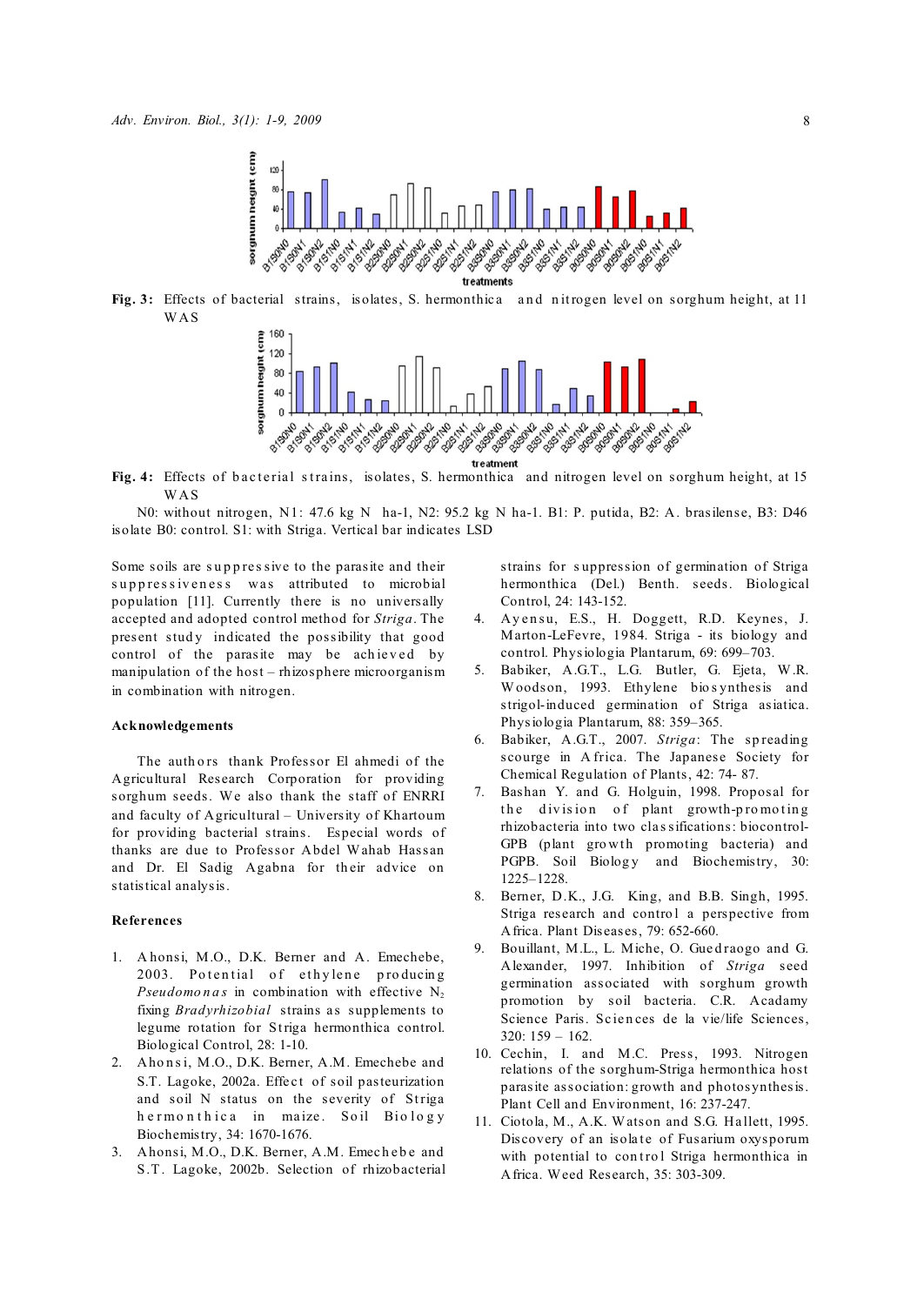

Fig. 3: Effects of bacterial strains, isolates, S. hermonthica and nitrogen level on sorghum height, at 11 WAS



Fig. 4: Effects of b acterial strains, isolates, S. hermonthica and nitrogen level on sorghum height, at 15 WAS

N0: without nitrogen, N1: 47.6 kg N ha-1, N2: 95.2 kg N ha-1. B1: P. putida, B2: A. brasilense, B3: D46 isolate B0: control. S1: with Striga. Vertical bar indicates LSD

Some soils are suppressive to the parasite and their suppressiveness was attributed to microbial population [11]. Currently there is no universally accepted and adopted control method for *Striga*. The present study indicated the possibility that good control of the parasite may be achieved by manipulation of the host – rhizosphere microorganism in combination with nitrogen.

#### **Acknowledgements**

The authors thank Professor El ahmedi of the Agricultural Research Corporation for providing sorghum seeds. We also thank the staff of ENRRI and faculty of Agricultural – University of Khartoum for providing bacterial strains. Especial words of thanks are due to Professor Abdel Wahab Hassan and Dr. El Sadig Agabna for their advice on statistical analysis.

### **References**

- 1. A honsi, M.O., D.K. Berner and A. Emechebe, 2003. Potential of ethylene producing *Pseudomonas* in combination with effective  $N_2$ fixing *Bradyrhizobial* strains as supplements to legume rotation for Striga hermonthica control. Biological Control, 28: 1-10.
- 2. Ahonsi, M.O., D.K. Berner, A.M. Emechebe and S.T. Lagoke, 2002a. Effect of soil pasteurization and soil N status on the severity of Striga h e r monthica in maize. Soil Biology Biochemistry, 34: 1670-1676.
- 3. Ahonsi, M.O., D.K. Berner, A.M. Emechebe and S.T. Lagoke, 2002b. Selection of rhizobacterial

strains for s uppression of germination of Striga hermonthica (Del.) Benth. seeds. Biological Control, 24: 143-152.

- 4. Ayensu, E.S., H. Doggett, R.D. Keynes, J. Marton-LeFevre, 1984. Striga - its biology and control. Physiologia Plantarum, 69: 699–703.
- 5. Babiker, A.G.T., L.G. Butler, G. Ejeta, W.R. Woodson, 1993. Ethylene bio synthesis and strigol-induced germination of Striga asiatica. Physiologia Plantarum, 88: 359–365.
- 6. Babiker, A.G.T., 2007. *Striga*: The sp reading scourge in A frica. The Japanese Society for Chemical Regulation of Plants, 42: 74- 87.
- 7. Bashan Y. and G. Holguin, 1998. Proposal for the division of plant growth-promoting rhizobacteria into two cla ssifications: biocontrol-GPB (plant growth promoting bacteria) and PGPB. Soil Biology and Biochemistry, 30: 1225–1228.
- 8. Berner, D.K., J.G. King, and B.B. Singh, 1995. Striga research and control a perspective from Africa. Plant Diseases, 79: 652-660.
- 9. Bouillant, M.L., L. Miche, O. Guedraogo and G. Alexander, 1997. Inhibition of *Striga* seed germination associated with sorghum growth promotion by soil bacteria. C.R. Acadamy Science Paris. Sciences de la vie/life Sciences, 320: 159 – 162.
- 10. Cechin, I. and M.C. Press, 1993. Nitrogen relations of the sorghum-Striga hermonthica host parasite association: growth and photosynthesis. Plant Cell and Environment, 16: 237-247.
- 11. Ciotola, M., A.K. Watson and S.G. Ha llett, 1995. Discovery of an isolate of Fusarium oxysporum with potential to control Striga hermonthica in Africa. Weed Research, 35: 303-309.